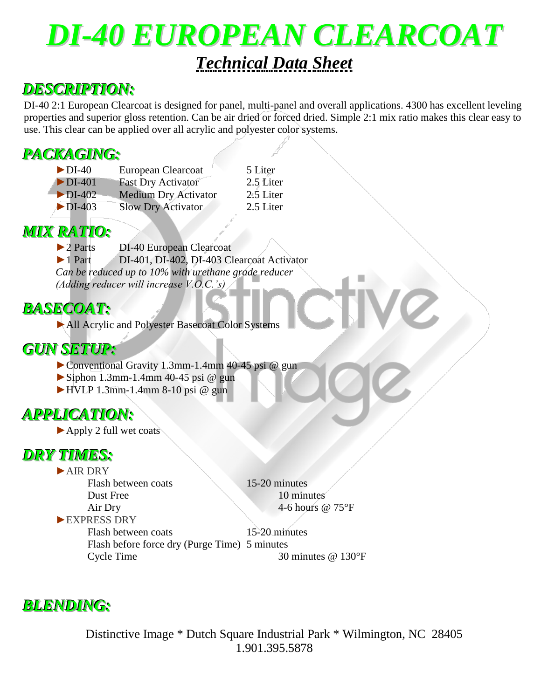## *DI-40 EUROPEAN CLEARCOAT Technical Data Sheet*

### *DESCRIPTION:*

DI-40 2:1 European Clearcoat is designed for panel, multi-panel and overall applications. 4300 has excellent leveling properties and superior gloss retention. Can be air dried or forced dried. Simple 2:1 mix ratio makes this clear easy to use. This clear can be applied over all acrylic and polyester color systems.

### *PACKAGING:*

| $\blacktriangleright$ DI-40  | European Clearcoat          | 5 Liter   |
|------------------------------|-----------------------------|-----------|
| $\triangleright$ DI-401      | <b>Fast Dry Activator</b>   | 2.5 Liter |
| $\triangleright$ DI-402      | <b>Medium Dry Activator</b> | 2.5 Liter |
| $\blacktriangleright$ DI-403 | <b>Slow Dry Activator</b>   | 2.5 Liter |

# *MIX RATIO:*<br>2 Parts

DI-40 European Clearcoat ►1 Part DI-401, DI-402, DI-403 Clearcoat Activator *Can be reduced up to 10% with urethane grade reducer (Adding reducer will increase V.O.C.'s)*

### *BASECOAT:*

►All Acrylic and Polyester Basecoat Color Systems

#### *GUN SETUP:*

- ►Conventional Gravity 1.3mm-1.4mm 40-45 psi @ gun
- $\triangleright$  Siphon 1.3mm-1.4mm 40-45 psi @ gun
- $\blacktriangleright$  HVLP 1.3mm-1.4mm 8-10 psi @ gun

### *APPLICATION:*

►Apply 2 full wet coats

#### *DRY TIMES:*

►AIR DRY Flash between coats 15-20 minutes Dust Free 10 minutes ►EXPRESS DRY

Air Dry 4-6 hours @ 75°F

Flash between coats 15-20 minutes Flash before force dry (Purge Time) 5 minutes Cycle Time 30 minutes @ 130°F

#### *BLENDING:*

Distinctive Image \* Dutch Square Industrial Park \* Wilmington, NC 28405 1.901.395.5878